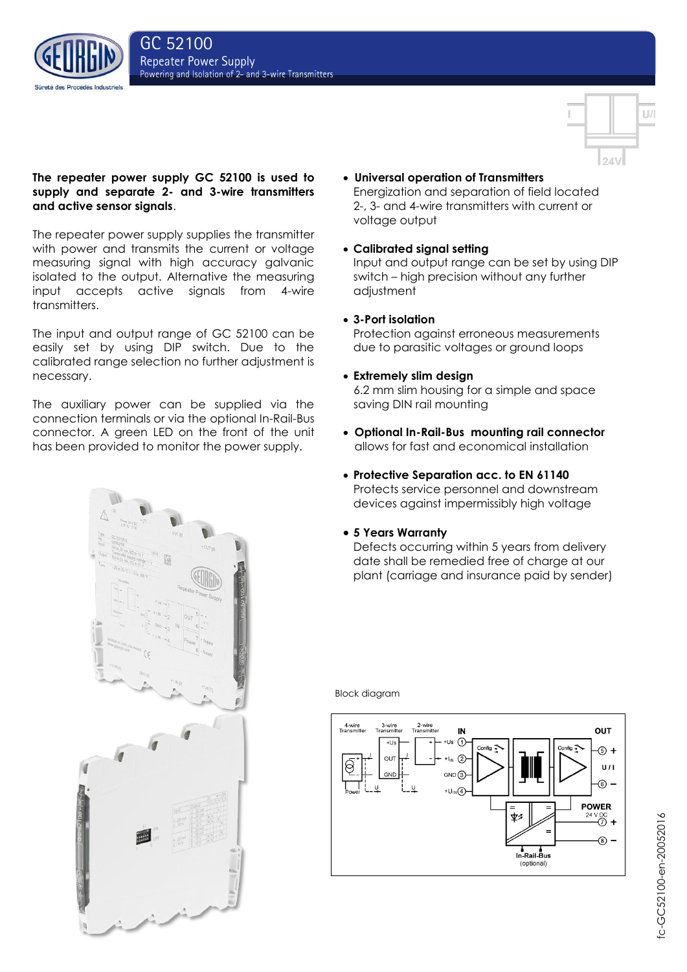



# **The repeater power supply GC 52100 is used to supply and separate 2- and 3-wire transmitters and active sensor signals**.

The repeater power supply supplies the transmitter with power and transmits the current or voltage measuring signal with high accuracy galvanic isolated to the output. Alternative the measuring input accepts active signals from 4-wire transmitters.

The input and output range of GC 52100 can be easily set by using DIP switch. Due to the calibrated range selection no further adjustment is necessary.

The auxiliary power can be supplied via the connection terminals or via the optional In-Rail-Bus connector. A green LED on the front of the unit has been provided to monitor the power supply.

- **Universal operation of Transmitters** Energization and separation of field located 2-, 3- and 4-wire transmitters with current or voltage output
- **Calibrated signal setting**

Input and output range can be set by using DIP switch – high precision without any further adjustment

**3-Port isolation**

Protection against erroneous measurements due to parasitic voltages or ground loops

- **Extremely slim design** 6.2 mm slim housing for a simple and space saving DIN rail mounting
- **Optional In-Rail-Bus mounting rail connector** allows for fast and economical installation
- **Protective Separation acc. to EN 61140** Protects service personnel and downstream devices against impermissibly high voltage
- **5 Years Warranty**

Defects occurring within 5 years from delivery date shall be remedied free of charge at our plant (carriage and insurance paid by sender)



Block diagram